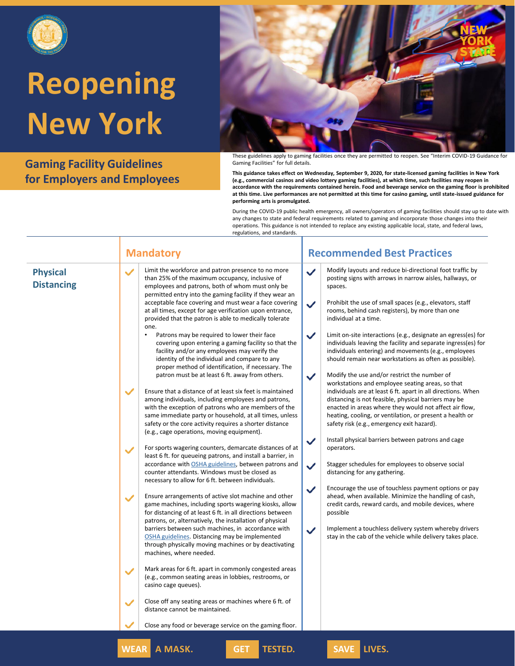

**Gaming Facility Guidelines for Employers and Employees**



These guidelines apply to gaming facilities once they are permitted to reopen. See "Interim COVID-19 Guidance for Gaming Facilities" for full details.

**This guidance takes effect on Wednesday, September 9, 2020, for state-licensed gaming facilities in New York (e.g., commercial casinos and video lottery gaming facilities), at which time, such facilities may reopen in accordance with the requirements contained herein. Food and beverage service on the gaming floor is prohibited at this time. Live performances are not permitted at this time for casino gaming, until state-issued guidance for performing arts is promulgated.**

During the COVID-19 public health emergency, all owners/operators of gaming facilities should stay up to date with any changes to state and federal requirements related to gaming and incorporate those changes into their operations. This guidance is not intended to replace any existing applicable local, state, and federal laws, regulations, and standards.

| <b>Physical</b> |  |
|-----------------|--|

**Distancing**

Limit the workforce and patron presence to no more than 25% of the maximum occupancy, inclusive of employees and patrons, both of whom must only be permitted entry into the gaming facility if they wear an acceptable face covering and must wear a face covering at all times, except for age verification upon entrance, provided that the patron is able to medically tolerate one.

Patrons may be required to lower their face covering upon entering a gaming facility so that the facility and/or any employees may verify the identity of the individual and compare to any proper method of identification, if necessary. The patron must be at least 6 ft. away from others.

Ensure that a distance of at least six feet is maintained among individuals, including employees and patrons, with the exception of patrons who are members of the same immediate party or household, at all times, unless safety or the core activity requires a shorter distance (e.g., cage operations, moving equipment).

For sports wagering counters, demarcate distances of at least 6 ft. for queueing patrons, and install a barrier, in accordance with [OSHA guidelines,](https://www.osha.gov/Publications/OSHA3990.pdf) between patrons and counter attendants. Windows must be closed as necessary to allow for 6 ft. between individuals.

Ensure arrangements of active slot machine and other game machines, including sports wagering kiosks, allow for distancing of at least 6 ft. in all directions between patrons, or, alternatively, the installation of physical barriers between such machines, in accordance with [OSHA guidelines](https://www.osha.gov/Publications/OSHA3990.pdf). Distancing may be implemented through physically moving machines or by deactivating machines, where needed.

Mark areas for 6 ft. apart in commonly congested areas (e.g., common seating areas in lobbies, restrooms, or casino cage queues).

Close off any seating areas or machines where 6 ft. of distance cannot be maintained.

Close any food or beverage service on the gaming floor.

**WEAR A MASK. GET TESTED. SAVE LIVES.**

### **Mandatory Recommended Best Practices**

- Modify layouts and reduce bi-directional foot traffic by posting signs with arrows in narrow aisles, hallways, or spaces.
- Prohibit the use of small spaces (e.g., elevators, staff rooms, behind cash registers), by more than one individual at a time.
- Limit on-site interactions (e.g., designate an egress(es) for individuals leaving the facility and separate ingress(es) for individuals entering) and movements (e.g., employees should remain near workstations as often as possible).
- Modify the use and/or restrict the number of workstations and employee seating areas, so that individuals are at least 6 ft. apart in all directions. When distancing is not feasible, physical barriers may be enacted in areas where they would not affect air flow, heating, cooling, or ventilation, or present a health or safety risk (e.g., emergency exit hazard).
- Install physical barriers between patrons and cage operators.
- Stagger schedules for employees to observe social distancing for any gathering.
- Encourage the use of touchless payment options or pay ahead, when available. Minimize the handling of cash, credit cards, reward cards, and mobile devices, where possible
- Implement a touchless delivery system whereby drivers stay in the cab of the vehicle while delivery takes place.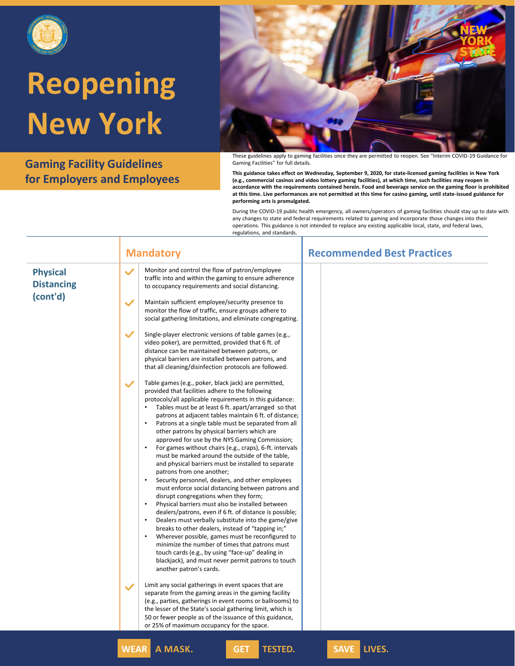

**Gaming Facility Guidelines for Employers and Employees**



These guidelines apply to gaming facilities once they are permitted to reopen. See "Interim COVID-19 Guidance for Gaming Facilities" for full details.

**This guidance takes effect on Wednesday, September 9, 2020, for state-licensed gaming facilities in New York (e.g., commercial casinos and video lottery gaming facilities), at which time, such facilities may reopen in accordance with the requirements contained herein. Food and beverage service on the gaming floor is prohibited at this time. Live performances are not permitted at this time for casino gaming, until state-issued guidance for performing arts is promulgated.**

|                                                  | <b>Mandatory</b>                                                                                                                                                                                                                                                                                                                                                                                                                                                                                                                                                                                                                                                                                                                                                                                                                                                                                                                                                                                                                                                                                                                                                                                                                                                                                                                                            | <b>Recommended Best Practices</b> |
|--------------------------------------------------|-------------------------------------------------------------------------------------------------------------------------------------------------------------------------------------------------------------------------------------------------------------------------------------------------------------------------------------------------------------------------------------------------------------------------------------------------------------------------------------------------------------------------------------------------------------------------------------------------------------------------------------------------------------------------------------------------------------------------------------------------------------------------------------------------------------------------------------------------------------------------------------------------------------------------------------------------------------------------------------------------------------------------------------------------------------------------------------------------------------------------------------------------------------------------------------------------------------------------------------------------------------------------------------------------------------------------------------------------------------|-----------------------------------|
| <b>Physical</b><br><b>Distancing</b><br>(cont'd) | Monitor and control the flow of patron/employee<br>$\checkmark$<br>traffic into and within the gaming to ensure adherence<br>to occupancy requirements and social distancing.<br>$\checkmark$<br>Maintain sufficient employee/security presence to<br>monitor the flow of traffic, ensure groups adhere to                                                                                                                                                                                                                                                                                                                                                                                                                                                                                                                                                                                                                                                                                                                                                                                                                                                                                                                                                                                                                                                  |                                   |
|                                                  | social gathering limitations, and eliminate congregating.<br>$\checkmark$<br>Single-player electronic versions of table games (e.g.,<br>video poker), are permitted, provided that 6 ft. of<br>distance can be maintained between patrons, or<br>physical barriers are installed between patrons, and<br>that all cleaning/disinfection protocols are followed.                                                                                                                                                                                                                                                                                                                                                                                                                                                                                                                                                                                                                                                                                                                                                                                                                                                                                                                                                                                             |                                   |
|                                                  | Table games (e.g., poker, black jack) are permitted,<br>$\checkmark$<br>provided that facilities adhere to the following<br>protocols/all applicable requirements in this guidance:<br>Tables must be at least 6 ft. apart/arranged so that<br>$\bullet$<br>patrons at adjacent tables maintain 6 ft. of distance;<br>Patrons at a single table must be separated from all<br>other patrons by physical barriers which are<br>approved for use by the NYS Gaming Commission;<br>$\bullet$<br>For games without chairs (e.g., craps), 6-ft. intervals<br>must be marked around the outside of the table,<br>and physical barriers must be installed to separate<br>patrons from one another;<br>Security personnel, dealers, and other employees<br>must enforce social distancing between patrons and<br>disrupt congregations when they form;<br>$\bullet$<br>Physical barriers must also be installed between<br>dealers/patrons, even if 6 ft. of distance is possible;<br>$\bullet$<br>Dealers must verbally substitute into the game/give<br>breaks to other dealers, instead of "tapping in;"<br>Wherever possible, games must be reconfigured to<br>$\bullet$<br>minimize the number of times that patrons must<br>touch cards (e.g., by using "face-up" dealing in<br>blackjack), and must never permit patrons to touch<br>another patron's cards. |                                   |
|                                                  | Limit any social gatherings in event spaces that are<br>$\checkmark$<br>separate from the gaming areas in the gaming facility<br>(e.g., parties, gatherings in event rooms or ballrooms) to<br>the lesser of the State's social gathering limit, which is<br>50 or fewer people as of the issuance of this guidance,<br>or 25% of maximum occupancy for the space.                                                                                                                                                                                                                                                                                                                                                                                                                                                                                                                                                                                                                                                                                                                                                                                                                                                                                                                                                                                          |                                   |
|                                                  | <b>WEAR</b><br>A MASK.<br><b>TESTED.</b><br><b>GET</b>                                                                                                                                                                                                                                                                                                                                                                                                                                                                                                                                                                                                                                                                                                                                                                                                                                                                                                                                                                                                                                                                                                                                                                                                                                                                                                      | LIVES.<br><b>SAVE</b>             |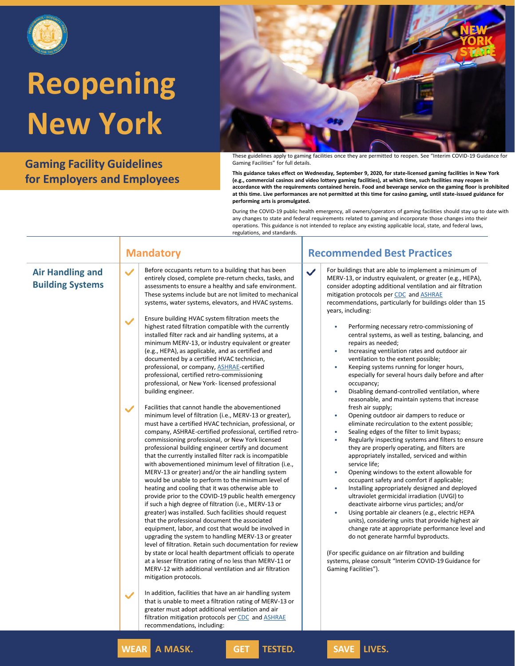

**Gaming Facility Guidelines for Employers and Employees**



These guidelines apply to gaming facilities once they are permitted to reopen. See "Interim COVID-19 Guidance for Gaming Facilities" for full details.

**This guidance takes effect on Wednesday, September 9, 2020, for state-licensed gaming facilities in New York (e.g., commercial casinos and video lottery gaming facilities), at which time, such facilities may reopen in accordance with the requirements contained herein. Food and beverage service on the gaming floor is prohibited at this time. Live performances are not permitted at this time for casino gaming, until state-issued guidance for performing arts is promulgated.**

During the COVID-19 public health emergency, all owners/operators of gaming facilities should stay up to date with any changes to state and federal requirements related to gaming and incorporate those changes into their operations. This guidance is not intended to replace any existing applicable local, state, and federal laws, regulations, and standards.

### **Mandatory Recommended Best Practices Air Handling and Building Systems** Before occupants return to a building that has been entirely closed, complete pre-return checks, tasks, and assessments to ensure a healthy and safe environment. These systems include but are not limited to mechanical systems, water systems, elevators, and HVAC systems. Ensure building HVAC system filtration meets the highest rated filtration compatible with the currently installed filter rack and air handling systems, at a minimum MERV-13, or industry equivalent or greater (e.g., HEPA), as applicable, and as certified and documented by a certified HVAC technician, professional, or company, [ASHRAE-](https://www.ashrae.org/about/news/2020/ashrae-offers-covid-19-building-readiness-reopening-guidance)certified professional, certified retro-commissioning professional, or New York- licensed professional building engineer. Facilities that cannot handle the abovementioned minimum level of filtration (i.e., MERV-13 or greater), must have a certified HVAC technician, professional, or company, ASHRAE-certified professional, certified retrocommissioning professional, or New York licensed professional building engineer certify and document that the currently installed filter rack is incompatible with abovementioned minimum level of filtration (i.e., MERV-13 or greater) and/or the air handling system would be unable to perform to the minimum level of heating and cooling that it was otherwise able to provide prior to the COVID-19 public health emergency if such a high degree of filtration (i.e., MERV-13 or greater) was installed. Such facilities should request that the professional document the associated equipment, labor, and cost that would be involved in upgrading the system to handling MERV-13 or greater level of filtration. Retain such documentation for review by state or local health department officials to operate at a lesser filtration rating of no less than MERV-11 or MERV-12 with additional ventilation and air filtration mitigation protocols. In addition, facilities that have an air handling system that is unable to meet a filtration rating of MERV-13 or greater must adopt additional ventilation and air filtration mitigation protocols per [CDC](https://www.cdc.gov/coronavirus/2019-ncov/community/guidance-business-response.html) and **[ASHRAE](https://www.ashrae.org/technical-resources/resources)** recommendations, including: For buildings that are able to implement a minimum of MERV-13, or industry equivalent, or greater (e.g., HEPA), consider adopting additional ventilation and air filtration mitigation protocols per [CDC](https://www.cdc.gov/coronavirus/2019-ncov/community/guidance-business-response.html) and [ASHRAE](https://www.ashrae.org/technical-resources/resources) recommendations, particularly for buildings older than 15 years, including: • Performing necessary retro-commissioning of central systems, as well as testing, balancing, and repairs as needed; • Increasing ventilation rates and outdoor air ventilation to the extent possible; • Keeping systems running for longer hours, especially for several hours daily before and after occupancy; • Disabling demand-controlled ventilation, where reasonable, and maintain systems that increase fresh air supply; • Opening outdoor air dampers to reduce or eliminate recirculation to the extent possible; • Sealing edges of the filter to limit bypass; • Regularly inspecting systems and filters to ensure they are properly operating, and filters are appropriately installed, serviced and within service life; • Opening windows to the extent allowable for occupant safety and comfort if applicable; • Installing appropriately designed and deployed ultraviolet germicidal irradiation (UVGI) to deactivate airborne virus particles; and/or Using portable air cleaners (e.g., electric HEPA units), considering units that provide highest air change rate at appropriate performance level and do not generate harmful byproducts. (For specific guidance on air filtration and building systems, please consult "Interim COVID-19 Guidance for Gaming Facilities"). **WEAR A MASK. GET TESTED. SAVE LIVES.**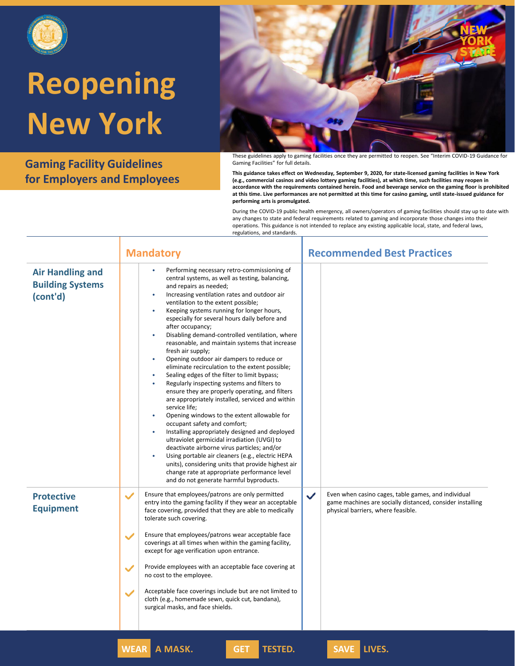

**Gaming Facility Guidelines for Employers and Employees**



These guidelines apply to gaming facilities once they are permitted to reopen. See "Interim COVID-19 Guidance for Gaming Facilities" for full details.

**This guidance takes effect on Wednesday, September 9, 2020, for state-licensed gaming facilities in New York (e.g., commercial casinos and video lottery gaming facilities), at which time, such facilities may reopen in accordance with the requirements contained herein. Food and beverage service on the gaming floor is prohibited at this time. Live performances are not permitted at this time for casino gaming, until state-issued guidance for performing arts is promulgated.**

|                                                                | <b>Recommended Best Practices</b><br><b>Mandatory</b>                                                                                                                                                                                                                                                                                                                                                                                                                                                                                                                                                                                                                                                                                                                                                                                                                                                                                                                                                                                                                                                                                                                                                                                                                                                           |
|----------------------------------------------------------------|-----------------------------------------------------------------------------------------------------------------------------------------------------------------------------------------------------------------------------------------------------------------------------------------------------------------------------------------------------------------------------------------------------------------------------------------------------------------------------------------------------------------------------------------------------------------------------------------------------------------------------------------------------------------------------------------------------------------------------------------------------------------------------------------------------------------------------------------------------------------------------------------------------------------------------------------------------------------------------------------------------------------------------------------------------------------------------------------------------------------------------------------------------------------------------------------------------------------------------------------------------------------------------------------------------------------|
| <b>Air Handling and</b><br><b>Building Systems</b><br>(cont'd) | Performing necessary retro-commissioning of<br>$\bullet$<br>central systems, as well as testing, balancing,<br>and repairs as needed;<br>Increasing ventilation rates and outdoor air<br>$\bullet$<br>ventilation to the extent possible;<br>Keeping systems running for longer hours,<br>$\bullet$<br>especially for several hours daily before and<br>after occupancy;<br>Disabling demand-controlled ventilation, where<br>۰<br>reasonable, and maintain systems that increase<br>fresh air supply;<br>Opening outdoor air dampers to reduce or<br>$\bullet$<br>eliminate recirculation to the extent possible;<br>Sealing edges of the filter to limit bypass;<br>٠<br>Regularly inspecting systems and filters to<br>۰<br>ensure they are properly operating, and filters<br>are appropriately installed, serviced and within<br>service life;<br>Opening windows to the extent allowable for<br>$\bullet$<br>occupant safety and comfort;<br>Installing appropriately designed and deployed<br>۰<br>ultraviolet germicidal irradiation (UVGI) to<br>deactivate airborne virus particles; and/or<br>Using portable air cleaners (e.g., electric HEPA<br>۰<br>units), considering units that provide highest air<br>change rate at appropriate performance level<br>and do not generate harmful byproducts. |
| <b>Protective</b><br><b>Equipment</b>                          | Ensure that employees/patrons are only permitted<br>Even when casino cages, table games, and individual<br>$\checkmark$<br>$\checkmark$<br>entry into the gaming facility if they wear an acceptable<br>game machines are socially distanced, consider installing<br>face covering, provided that they are able to medically<br>physical barriers, where feasible.<br>tolerate such covering.<br>Ensure that employees/patrons wear acceptable face<br>$\checkmark$<br>coverings at all times when within the gaming facility,<br>except for age verification upon entrance.<br>Provide employees with an acceptable face covering at<br>$\checkmark$<br>no cost to the employee.<br>Acceptable face coverings include but are not limited to<br>$\checkmark$<br>cloth (e.g., homemade sewn, quick cut, bandana),<br>surgical masks, and face shields.                                                                                                                                                                                                                                                                                                                                                                                                                                                          |
|                                                                | SAVE LIVES.<br><b>WEAR A MASK.</b><br><b>TESTED.</b><br><b>GET</b>                                                                                                                                                                                                                                                                                                                                                                                                                                                                                                                                                                                                                                                                                                                                                                                                                                                                                                                                                                                                                                                                                                                                                                                                                                              |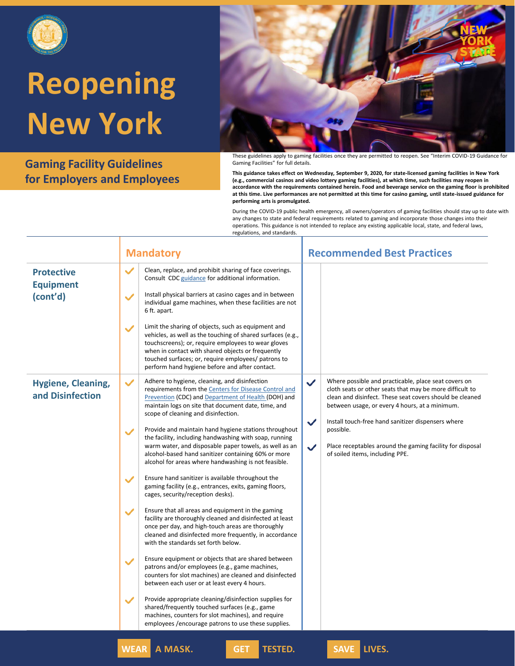

**Gaming Facility Guidelines for Employers and Employees**



These guidelines apply to gaming facilities once they are permitted to reopen. See "Interim COVID-19 Guidance for Gaming Facilities" for full details.

**This guidance takes effect on Wednesday, September 9, 2020, for state-licensed gaming facilities in New York (e.g., commercial casinos and video lottery gaming facilities), at which time, such facilities may reopen in accordance with the requirements contained herein. Food and beverage service on the gaming floor is prohibited at this time. Live performances are not permitted at this time for casino gaming, until state-issued guidance for performing arts is promulgated.**

|                                                   | <b>Mandatory</b>                                                                                                                                                                                                                                                                                                                                                                                                                                                                                                                                                                                                                              | <b>Recommended Best Practices</b>                                                                                                                                                                                                                                                                         |
|---------------------------------------------------|-----------------------------------------------------------------------------------------------------------------------------------------------------------------------------------------------------------------------------------------------------------------------------------------------------------------------------------------------------------------------------------------------------------------------------------------------------------------------------------------------------------------------------------------------------------------------------------------------------------------------------------------------|-----------------------------------------------------------------------------------------------------------------------------------------------------------------------------------------------------------------------------------------------------------------------------------------------------------|
| <b>Protective</b><br><b>Equipment</b><br>(cont'd) | $\checkmark$<br>Clean, replace, and prohibit sharing of face coverings.<br>Consult CDC guidance for additional information.<br>Install physical barriers at casino cages and in between<br>$\checkmark$<br>individual game machines, when these facilities are not<br>6 ft. apart.<br>Limit the sharing of objects, such as equipment and<br>$\checkmark$<br>vehicles, as well as the touching of shared surfaces (e.g.,<br>touchscreens); or, require employees to wear gloves<br>when in contact with shared objects or frequently<br>touched surfaces; or, require employees/ patrons to<br>perform hand hygiene before and after contact. |                                                                                                                                                                                                                                                                                                           |
| <b>Hygiene, Cleaning,</b><br>and Disinfection     | Adhere to hygiene, cleaning, and disinfection<br>✓<br>requirements from the Centers for Disease Control and<br><b>Prevention (CDC) and Department of Health (DOH) and</b><br>maintain logs on site that document date, time, and<br>scope of cleaning and disinfection.                                                                                                                                                                                                                                                                                                                                                                       | Where possible and practicable, place seat covers on<br>$\checkmark$<br>cloth seats or other seats that may be more difficult to<br>clean and disinfect. These seat covers should be cleaned<br>between usage, or every 4 hours, at a minimum.<br>✓<br>Install touch-free hand sanitizer dispensers where |
|                                                   | Provide and maintain hand hygiene stations throughout<br>$\checkmark$<br>the facility, including handwashing with soap, running<br>warm water, and disposable paper towels, as well as an<br>alcohol-based hand sanitizer containing 60% or more<br>alcohol for areas where handwashing is not feasible.                                                                                                                                                                                                                                                                                                                                      | possible.<br>Place receptables around the gaming facility for disposal<br>$\checkmark$<br>of soiled items, including PPE.                                                                                                                                                                                 |
|                                                   | Ensure hand sanitizer is available throughout the<br>✓<br>gaming facility (e.g., entrances, exits, gaming floors,<br>cages, security/reception desks).                                                                                                                                                                                                                                                                                                                                                                                                                                                                                        |                                                                                                                                                                                                                                                                                                           |
|                                                   | Ensure that all areas and equipment in the gaming<br>✓<br>facility are thoroughly cleaned and disinfected at least<br>once per day, and high-touch areas are thoroughly<br>cleaned and disinfected more frequently, in accordance<br>with the standards set forth below.                                                                                                                                                                                                                                                                                                                                                                      |                                                                                                                                                                                                                                                                                                           |
|                                                   | Ensure equipment or objects that are shared between<br>$\checkmark$<br>patrons and/or employees (e.g., game machines,<br>counters for slot machines) are cleaned and disinfected<br>between each user or at least every 4 hours.                                                                                                                                                                                                                                                                                                                                                                                                              |                                                                                                                                                                                                                                                                                                           |
|                                                   | Provide appropriate cleaning/disinfection supplies for<br>✓<br>shared/frequently touched surfaces (e.g., game<br>machines, counters for slot machines), and require<br>employees / encourage patrons to use these supplies.                                                                                                                                                                                                                                                                                                                                                                                                                   |                                                                                                                                                                                                                                                                                                           |
|                                                   | <b>WEAR A MASK.</b><br><b>TESTED.</b><br><b>GET</b>                                                                                                                                                                                                                                                                                                                                                                                                                                                                                                                                                                                           | SAVE LIVES.                                                                                                                                                                                                                                                                                               |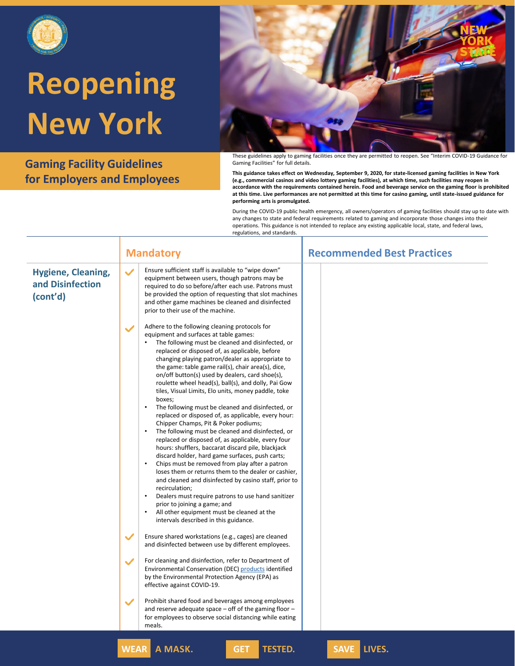

**Gaming Facility Guidelines for Employers and Employees**



These guidelines apply to gaming facilities once they are permitted to reopen. See "Interim COVID-19 Guidance for Gaming Facilities" for full details.

**This guidance takes effect on Wednesday, September 9, 2020, for state-licensed gaming facilities in New York (e.g., commercial casinos and video lottery gaming facilities), at which time, such facilities may reopen in accordance with the requirements contained herein. Food and beverage service on the gaming floor is prohibited at this time. Live performances are not permitted at this time for casino gaming, until state-issued guidance for performing arts is promulgated.**

|                                                           | <b>Mandatory</b>                                                                                                                                                                                                                                                                                                                                                                                                                                                                                                                                                                                                                                                                                                                                                                                                                                                                                                                                                                                                                                                                                                                                                                                                                              | <b>Recommended Best Practices</b> |
|-----------------------------------------------------------|-----------------------------------------------------------------------------------------------------------------------------------------------------------------------------------------------------------------------------------------------------------------------------------------------------------------------------------------------------------------------------------------------------------------------------------------------------------------------------------------------------------------------------------------------------------------------------------------------------------------------------------------------------------------------------------------------------------------------------------------------------------------------------------------------------------------------------------------------------------------------------------------------------------------------------------------------------------------------------------------------------------------------------------------------------------------------------------------------------------------------------------------------------------------------------------------------------------------------------------------------|-----------------------------------|
| <b>Hygiene, Cleaning,</b><br>and Disinfection<br>(cont'd) | Ensure sufficient staff is available to "wipe down"<br>$\checkmark$<br>equipment between users, though patrons may be<br>required to do so before/after each use. Patrons must<br>be provided the option of requesting that slot machines<br>and other game machines be cleaned and disinfected<br>prior to their use of the machine.                                                                                                                                                                                                                                                                                                                                                                                                                                                                                                                                                                                                                                                                                                                                                                                                                                                                                                         |                                   |
|                                                           | Adhere to the following cleaning protocols for<br>equipment and surfaces at table games:<br>• The following must be cleaned and disinfected, or<br>replaced or disposed of, as applicable, before<br>changing playing patron/dealer as appropriate to<br>the game: table game rail(s), chair area(s), dice,<br>on/off button(s) used by dealers, card shoe(s),<br>roulette wheel head(s), ball(s), and dolly, Pai Gow<br>tiles, Visual Limits, Elo units, money paddle, toke<br>boxes;<br>$\bullet$<br>The following must be cleaned and disinfected, or<br>replaced or disposed of, as applicable, every hour:<br>Chipper Champs, Pit & Poker podiums;<br>The following must be cleaned and disinfected, or<br>replaced or disposed of, as applicable, every four<br>hours: shufflers, baccarat discard pile, blackjack<br>discard holder, hard game surfaces, push carts;<br>Chips must be removed from play after a patron<br>loses them or returns them to the dealer or cashier,<br>and cleaned and disinfected by casino staff, prior to<br>recirculation;<br>Dealers must require patrons to use hand sanitizer<br>prior to joining a game; and<br>All other equipment must be cleaned at the<br>intervals described in this guidance. |                                   |
|                                                           | Ensure shared workstations (e.g., cages) are cleaned<br>$\checkmark$<br>and disinfected between use by different employees.                                                                                                                                                                                                                                                                                                                                                                                                                                                                                                                                                                                                                                                                                                                                                                                                                                                                                                                                                                                                                                                                                                                   |                                   |
|                                                           | For cleaning and disinfection, refer to Department of<br>$\checkmark$<br>Environmental Conservation (DEC) products identified<br>by the Environmental Protection Agency (EPA) as<br>effective against COVID-19.                                                                                                                                                                                                                                                                                                                                                                                                                                                                                                                                                                                                                                                                                                                                                                                                                                                                                                                                                                                                                               |                                   |
|                                                           | Prohibit shared food and beverages among employees<br>$\checkmark$<br>and reserve adequate space $-$ off of the gaming floor $-$<br>for employees to observe social distancing while eating<br>meals.                                                                                                                                                                                                                                                                                                                                                                                                                                                                                                                                                                                                                                                                                                                                                                                                                                                                                                                                                                                                                                         |                                   |